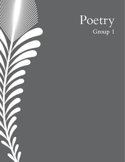

# Poetry Group 1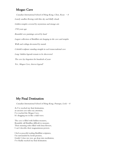## Mogao Cave

Canadian International School of Hong Kong, Chen,  $R$ yan  $-8$ Lonely sandbar flowing with blue sky and fluffy clouds Golden temples covered by mysterious and strange arts 1700 years ago Beautiful cave paintings carved by hand Largest collection of Buddhist arts hanging in the cave and temples Walls and ceilings decorated by murals Colorful sculpture standing straight in each transcendental cave Long-hidden legends remain to be discovered The cave lay forgotten for hundreds of years Yet , Mogao Cave, forever legend!

# My Final Destination

Canadian International School of Hong Kong, Ponnapa, Leela  $-8$ 

As I've reached my final destination, an ancient cave takes my attention, I've reached the Mogao Cave, It's dragging me in like a tidal wave.

The cave is filled with hidden treasures, Beautiful, tall Buddhas difficult to measure, Their stunning robes filled with lotus flowers, I can't describe their magnanimous powers.

I feel so peaceful reading Buddhist scriptures, I'm surrounded by lavish pictures, Gently I close my eyes, go deep into meditation, I've finally reached my final destination.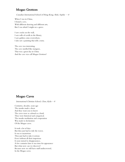# Mogao Grottoes

Canadian International School of Hong Kong, Shek, Sophie  $-8$ 

When I was in China, I found a cave, With different drawing and different arts, But I was afraid I might see a grave.

I saw cracks on the wall, I saw rolls of scrolls in the library, I saw golden coins everywhere, I also saw a painting that tells a story.

The cave was interesting, The cave smelled like mangoes, That was a great day in China And the cave was call Mogao Grottoes!

# Mogao Caves

International Christian School, Chen, Kylie  $-8$ 

Centuries, decades, years ago The monks made a show And they want you to know The caves were as colossal as a fossil, They were historical and categorical. The monks meditation and cooperation Was made to declaration Of the Mogao caves.

It took a lot of days But they just had to ride the waves. It was so mysterious They just had to take it serious Even without all their imperious It soon turned to disappearance, A few centuries later it was time for appearance But what now can we discover? Because now we still have stuff undiscovered, In the Mogao caves.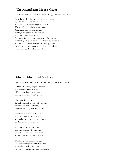# The Magnificent Mogao Caves

Po Leung Kuk Choi Kai Yau School, Wong, Chi Man Claudia - 6

Once dug for Buddhist worship and meditation, By a Monk filled with inspiration. At a crossroad of trade along the Silk Road, Where traders and pilgrims once rode. As centuries and dynasties passed, Paintings, sculptures and art amassed. Travellers crossed other trails, And many forgot about the caves magnificent tales. But the legendary caves were found again by explorers, And the tunnels were unlocked for history adorers. Now they enter this portal into ancient civilizations, Mesmerized by the endless decorations.

### Mogao, Monk and Meditate

Po Leung Kuk Choi Kai Yau School, Wong, Hiu Wai Elizabeth  $-9$ 

O Mogao Grottoes, Mogao Grottoes, The thousand Buddhas' caves; Hiding in the Dunhuang's toes, Burying in the Silk Road's graves.

Pilgriming for austerity, Tens of thousands monks seek you there; Enlightening with spirituality, Paintings and sculptures are not rare.

Why have you caused to be forsaken? That make all the nations sorrow; Million literatures have been forgotten, Civilization needs tomorrow.

Trekking across the dusty land, Explorers discovers the treasures; Unearthed secrets are now in hand, All the riches are without measures.

Wondering on such splendid legacy, I meditate through the tunnel of time; If I had been with that destiny, I would advocate to the world such prime.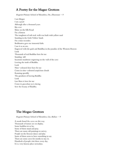# A Poetry for the Magao Grottoes

Regents Primary School of Shenzhen, Du, Zhuoxuan  $-9$ 

I am Mogao I am a pearl Although after a thousand years like ever Shine on the Silk Road I'm a fortress The toughness of soft rock walls was built with yellow sand Standing in the Gobi Yellow Sands I'm a time recorder. Bodhisattva gave me immortal faith. I use it as an axe. Engraved with the gods and Buddhas in the paradise of the Western Heaven Look Thousands of real Buddhas here for me Standing still Incarnate mudstone engraving on the wall of the cave Leaving the truth of Buddha. Look Nine-coloured deer here for me Come in nine-coloured auspicious clouds Running speedily The goodness of leaving Buddha Look Luo Shen is here for me Come in graceshan yu is dacing Sow the beauty of Buddha.

#### The Mogao Grottoes

Regents Primary School of Shenzhen, Lin, Baihao - 9

A monk found the caves on this way. Thousands of statues are on display. Some buddhas sit or lay. Some of them stand and pray. There are many old paintings to survey. People on the frescoes dance and play. Some of them seem to have something to say. There are some caves for monks to stay in. Hundreds of people visit there every day. It is a very famous place nowadays.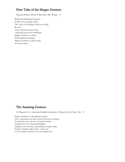# New Tales of the Mogao Grottoes

Regents Primary School of Shenzhen, Shi, Wenqi  $-8$ 

Walk into Dunhuang Grottoes, It's like we're reading a book. The color of the Mogao Grottoes is thick, Because It has experienced more than a thousand years of accumulation. Mogao Grottoes is a poem With profound meaning. Mogao Grottoes is a long swing of ancient music.

#### The Amazing Grottoes

St. Margaret's Co-educational English Secondary & Primary School, Ng, Colin - 8

Mogao Grottoes are the greatest treasure. Over a thousand years they survive the forces of nature. Go into the caves you can see lots of wonder. Amazing view of a thousand Buddhas. Ordinary caves become extraordinary temples today. Grottoes Grottoes please show us the way to the countless mysteries you are hiding away.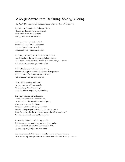# A Magic Adventure to Dunhuang: Sharing is Caring

St. Paul's Co-educational College Primary School, Wan, Yeuk Lai  $-6$ 

The Mongao Caves in the Duhuang District, where every literature was handpicked. These caves made me so curious; visiting them made me nervous.

In the cave was a secret taxi stand that nobody could really understand. I jumped into the taxi excitedly, and pressed on a button accidentally.

#### WIZZLE, DAZZLE, TWINKLE, SPRINKLES!

I was brought to the old Dunhuang full of miracles! I found some famous statues, Buddhist art and writings on the wall, This place was the most spectacular of all!

This had to be one of the best adventures, where I was inspired to write books and draw pictures. Then I saw one famous painting on the wall. I asked a man who was wise and tall.

"What is this painting all about?" He answered me without a doubt, "This is Kong Rong's painting," I wonder what Kong Rong was thinking.

The old, wise man was a chatterer: "Kong Rong had four older brothers, He decided to take one of the smallest pears, It is a way to respect the elders. Kong Rong also had a younger brother. Shouldn't the younger brother take the smallest pear? Kong Rong explained that it was a way to show love and care." Ah-ha, I learnt that we should alway share!

Meanwhile, I found a radio in my pocket. This button on it would bring me home in a rocket. I time-travelled again to the Dunhuang in 2021, I guessed my magical journey was done.

But wait a minute! Back home, I found a pear in my other pocket. Share it with my younger brother and there won't be tears in his eye socket.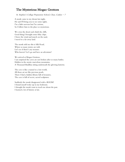# The Mysterious Mogao Grottoes

St. Stephen's College Preparatory School, Chan, Caitlyn  $-7$ 

A monk came to my dream last night, He said I'll bring you to see some sights. I'm a little nervous but I'm curious, So I follow him to the place so mysterious.

We cross the desert and climb the cliffs, Good thing I brought some fishy chips. I brave the wind and march on the sand, I travel to a far away land.

The monk told me this is Silk Road, Where so many stories are told. Let's see if there's any treasure. Who knows? Let's go and have an adventure!

We arrived at Mogao Grottoes, I am surprised the caves are not broken after so many battles. Hidden in the mystic marvelous mountains, A Thousand Buddhas sitting underneath the glowing lanterns.

The cave is like a tunnel to a lost world, All those art are like precious pearls. There I find a hidden library full of treasures, The cave is full of secret, sacred sculptures.

Suddenly the monk disappeared with a BOOM! I found myself woke up in my bedroom. I thought the monk want to teach me about the past. I learned a lot of history at last.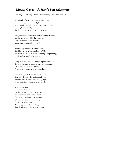# Mogao Caves – A Fairy's Fun Adventure

St. Stephen's College Preparatory School, Chan, Melanie -  $6$ 

Thousands of years ago in the Mogao Caves, a fairy wanted to come and play. The caves looked gloomy and were made of clay. Having found it dull, she decided to change it in her own way.

First, she sculptured statues of her Buddha friends, making them look like the greatest men. Some were big, some were tall. Some were sleeping by the wall.

Next thing she did was paint a wall. She liked to use vibrant colours of fall. There were actions of people dancing and prancing, and it looked absolutely fantastic!

Lastly, the fairy wanted to build a grand entrance, she used her magic wand to start her creation. "Abracadabra! There" she said. A majestic entrance was what she had.

Feeling happy with what she had done, The fairy thought she had enough fun. She looked at the sky and flew up high. It was time to go home and say goodbye!

Many years later, a monk walked by. He discovered the caves by surprise. "For heaven's sake! What's this?" "These are treasures for my peeps!" Off he went to share the news, everybody was amused. After digging for days and days, they finally found the Mogao Caves!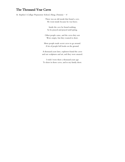# The Thousand Year Caves

St. Stephen's College Preparatory School, Hung, Dominic  $-8$ 

There was an old monk that found a cave. He went inside because he was brave.

Inside the cave he found nothing. So he prayed and prayed until spring.

Other people came, and the caves they saw Were empty, but they wanted to draw.

More people made secret caves to go around. A lot of people left books on the ground.

A thousand years later, explorers found the caves and saw sculptures and art, and they were amazed.

I wish I were there a thousand years ago To draw in those caves, and to my family show.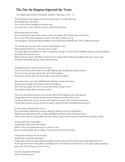# The Day the Empress Inspected the Town

The Independent Schools Foundation Academy, Nakamura, Coco  $-8$ 

The black holes of the Mogao Grottos hit Cheng Zhao's eyes like dark stars Welcoming him to go inside The air got cold but strangely he still felt warm. As he came face to face with the treasures of the Library Room.

Welcoming him to go inside An ancient book lay open with a picture of the day Empress Wu Zetian inspected the town He sees one of the most important treasures of the library room close up. The page glows, slowly growing in brightness and Cheng Zhao suddenly feels a force pulling him inside.

The ancient open lay open with a picture of the Empress' visit

And transports him back to when the town was alive.

The page's glow and pulling force takes Cheng Zhao through a tunnel of stone Buddhas, tapestries and silk paintings that flash before his wide eyes.

Where does the tunnel end? When will I get there? Cheng Zhao lands in the middle of the town square with merchants and monks and the smell of old all around.

Transported back to when the town was alive The caves look like cheese holes in the cliff, blinking with silk flags and tapestry banners The town is dressed and ready for the arrival of the Empress. In the busy, excited square the town's talk is only about one thing.

The cheese hole caves in the cliff blink their silk flags and tapestry banners Waving and cheering as the Empress rides by and inspects But in the busy square the town's excited talk quickly changes to fear The Empress's horse falls on an uneven stone.

The waves and cheers from the caves become silent as the Empress heads to the ground. Cheng Zhao sees the next few minutes in slow motion so he runs to her rescue, The horses fall on the uneven stone sees the Empress in danger with 100 horses behind her. Cheng Zhao stretches out his arms like an eagle to shield her from 100 falling domino horses.

In slow motion running to her rescue

The guards think Cheng Zhao wants to attack the Empress and seize Cheng Zhao. With his arms stretched out like an eagle, shielding the Empress from the domino horses, There is no escape for Cheng Zhao from the Guard's charge whose swords are raised in the air ready to strike.

As the guards seize Cheng Zhao, Cheng Zhao looks to the sky for help Where a forest of swords point down to where he lays But the swords quickly part revealing a cloud staircase that leads to the sky.

Cheng Zhao looked to the sky for help

And the sky responded with thanks

Cheng Zhao climbs the cloud staircase leading to the sky and the same Library room images flash by his eyes At the top of the stairs, Cheng Zhao is portalled back to the Library room face to face once again with the glowing page of the day the Empress came to town.

The sky responded with thanks And so did the Empress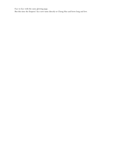Face to face with the same glowing page,

But this time the Empress' face now turns directly to Cheng Hao and bows long and low.